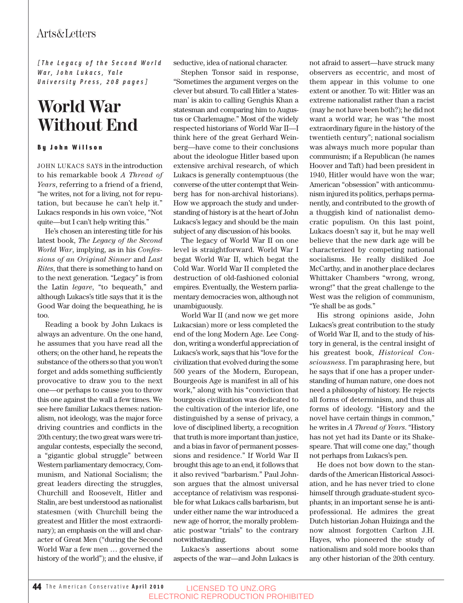## Arts&Letters

*[The Legacy of the Second World War, John Lukacs, Yale University Press, 208 pages]*

# **World War Without End**

By John Willson

JOHN LUKACS SAYS in the introduction to his remarkable book *A Thread of Years*, referring to a friend of a friend, "he writes, not for a living, not for reputation, but because he can't help it." Lukacs responds in his own voice, "Not quite—but I can't help writing this."

He's chosen an interesting title for his latest book, *The Legacy of the Second World War*, implying, as in his *Confessions of an Original Sinner* and *Last Rites*, that there is something to hand on to the next generation. "Legacy" is from the Latin *legare*, "to bequeath," and although Lukacs's title says that it is the Good War doing the bequeathing, he is too.

Reading a book by John Lukacs is always an adventure. On the one hand, he assumes that you have read all the others; on the other hand, he repeats the substance of the others so that you won't forget and adds something sufficiently provocative to draw you to the next one—or perhaps to cause you to throw this one against the wall a few times. We see here familiar Lukacs themes: nationalism, not ideology, was the major force driving countries and conflicts in the 20th century; the two great wars were triangular contests, especially the second, a "gigantic global struggle" between Western parliamentary democracy, Communism, and National Socialism; the great leaders directing the struggles, Churchill and Roosevelt, Hitler and Stalin, are best understood as nationalist statesmen (with Churchill being the greatest and Hitler the most extraordinary); an emphasis on the will and character of Great Men ("during the Second World War a few men … governed the history of the world"); and the elusive, if seductive, idea of national character.

Stephen Tonsor said in response, "Sometimes the argument verges on the clever but absurd. To call Hitler a 'statesman' is akin to calling Genghis Khan a statesman and comparing him to Augustus or Charlemagne." Most of the widely respected historians of World War II—I think here of the great Gerhard Weinberg—have come to their conclusions about the ideologue Hitler based upon extensive archival research, of which Lukacs is generally contemptuous (the converse of the utter contempt that Weinberg has for non-archival historians). How we approach the study and understanding of history is at the heart of John Lukacs's legacy and should be the main subject of any discussion of his books.

The legacy of World War II on one level is straightforward. World War I begat World War II, which begat the Cold War. World War II completed the destruction of old-fashioned colonial empires. Eventually, the Western parliamentary democracies won, although not unambiguously.

World War II (and now we get more Lukacsian) more or less completed the end of the long Modern Age. Lee Congdon, writing a wonderful appreciation of Lukacs's work, says that his "love for the civilization that evolved during the some 500 years of the Modern, European, Bourgeois Age is manifest in all of his work," along with his "conviction that bourgeois civilization was dedicated to the cultivation of the interior life, one distinguished by a sense of privacy, a love of disciplined liberty, a recognition that truth is more important than justice, and a bias in favor of permanent possessions and residence." If World War II brought this age to an end, it follows that it also revived "barbarism." Paul Johnson argues that the almost universal acceptance of relativism was responsible for what Lukacs calls barbarism, but under either name the war introduced a new age of horror, the morally problematic postwar "trials" to the contrary notwithstanding.

Lukacs's assertions about some aspects of the war—and John Lukacs is not afraid to assert—have struck many observers as eccentric, and most of them appear in this volume to one extent or another. To wit: Hitler was an extreme nationalist rather than a racist (may he not have been both?); he did not want a world war; he was "the most extraordinary figure in the history of the twentieth century"; national socialism was always much more popular than communism; if a Republican (he names Hoover and Taft) had been president in 1940, Hitler would have won the war; American "obsession" with anticommunism injured its politics, perhaps permanently, and contributed to the growth of a thuggish kind of nationalist democratic populism. On this last point, Lukacs doesn't say it, but he may well believe that the new dark age will be characterized by competing national socialisms. He really disliked Joe McCarthy, and in another place declares Whittaker Chambers "wrong, wrong, wrong!" that the great challenge to the West was the religion of communism, "Ye shall be as gods."

His strong opinions aside, John Lukacs's great contribution to the study of World War II, and to the study of history in general, is the central insight of his greatest book, *Historical Consciousness*. I'm paraphrasing here, but he says that if one has a proper understanding of human nature, one does not need a philosophy of history. He rejects all forms of determinism, and thus all forms of ideology. "History and the novel have certain things in common," he writes in *A Thread of Years*. "History has not yet had its Dante or its Shakespeare. That will come one day," though not perhaps from Lukacs's pen.

He does not bow down to the standards of the American Historical Association, and he has never tried to clone himself through graduate-student sycophants; in an important sense he is antiprofessional. He admires the great Dutch historian Johan Huizinga and the now almost forgotten Carlton J.H. Hayes, who pioneered the study of nationalism and sold more books than any other historian of the 20th century.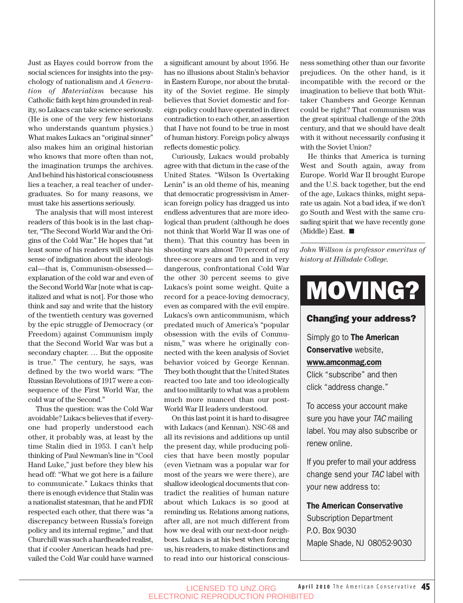Just as Hayes could borrow from the social sciences for insights into the psychology of nationalism and *A Generation of Materialism* because his Catholic faith kept him grounded in reality, so Lukacs can take science seriously. (He is one of the very few historians who understands quantum physics.) What makes Lukacs an "original sinner" also makes him an original historian who knows that more often than not, the imagination trumps the archives. And behind his historical consciousness lies a teacher, a real teacher of undergraduates. So for many reasons, we must take his assertions seriously.

The analysis that will most interest readers of this book is in the last chapter, "The Second World War and the Origins of the Cold War." He hopes that "at least some of his readers will share his sense of indignation about the ideological—that is, Communism-obsessed explanation of the cold war and even of the Second World War [note what is capitalized and what is not]. For those who think and say and write that the history of the twentieth century was governed by the epic struggle of Democracy (or Freedom) against Communism imply that the Second World War was but a secondary chapter. … But the opposite is true." The century, he says, was defined by the two world wars: "The Russian Revolutions of 1917 were a consequence of the First World War, the cold war of the Second."

Thus the question: was the Cold War avoidable? Lukacs believes that if everyone had properly understood each other, it probably was, at least by the time Stalin died in 1953. I can't help thinking of Paul Newman's line in "Cool Hand Luke," just before they blew his head off: "What we got here is a failure to communicate." Lukacs thinks that there is enough evidence that Stalin was a nationalist statesman, that he and FDR respected each other, that there was "a discrepancy between Russia's foreign policy and its internal regime," and that Churchill was such a hardheaded realist, that if cooler American heads had prevailed the Cold War could have warmed a significant amount by about 1956. He has no illusions about Stalin's behavior in Eastern Europe, nor about the brutality of the Soviet regime. He simply believes that Soviet domestic and foreign policy could have operated in direct contradiction to each other, an assertion that I have not found to be true in most of human history. Foreign policy always reflects domestic policy.

Curiously, Lukacs would probably agree with that dictum in the case of the United States. "Wilson Is Overtaking Lenin" is an old theme of his, meaning that democratic progressivism in American foreign policy has dragged us into endless adventures that are more ideological than prudent (although he does not think that World War II was one of them). That this country has been in shooting wars almost 70 percent of my three-score years and ten and in very dangerous, confrontational Cold War the other 30 percent seems to give Lukacs's point some weight. Quite a record for a peace-loving democracy, even as compared with the evil empire. Lukacs's own anticommunism, which predated much of America's "popular obsession with the evils of Communism," was where he originally connected with the keen analysis of Soviet behavior voiced by George Kennan. They both thought that the United States reacted too late and too ideologically and too militarily to what was a problem much more nuanced than our post-World War II leaders understood.

On this last point it is hard to disagree with Lukacs (and Kennan). NSC-68 and all its revisions and additions up until the present day, while producing policies that have been mostly popular (even Vietnam was a popular war for most of the years we were there), are shallow ideological documents that contradict the realities of human nature about which Lukacs is so good at reminding us. Relations among nations, after all, are not much different from how we deal with our next-door neighbors. Lukacs is at his best when forcing us, his readers, to make distinctions and to read into our historical consciousness something other than our favorite prejudices. On the other hand, is it incompatible with the record or the imagination to believe that both Whittaker Chambers and George Kennan could be right? That communism was the great spiritual challenge of the 20th century, and that we should have dealt with it without necessarily confusing it with the Soviet Union?

He thinks that America is turning West and South again, away from Europe. World War II brought Europe and the U.S. back together, but the end of the age, Lukacs thinks, might separate us again. Not a bad idea, if we don't go South and West with the same crusading spirit that we have recently gone (Middle) East.

*John Willson is professor emeritus of history at Hillsdale College.*

# MOVING?

#### Changing your address?

Simply go to **The American** Conservative website, www.amconmag.com

Click "subscribe" and then click "address change."

To access your account make sure you have your TAC mailing label. You may also subscribe or renew online.

If you prefer to mail your address change send your TAC label with your new address to:

### The American Conservative

Subscription Department P.O. Box 9030 Maple Shade, NJ 08052-9030